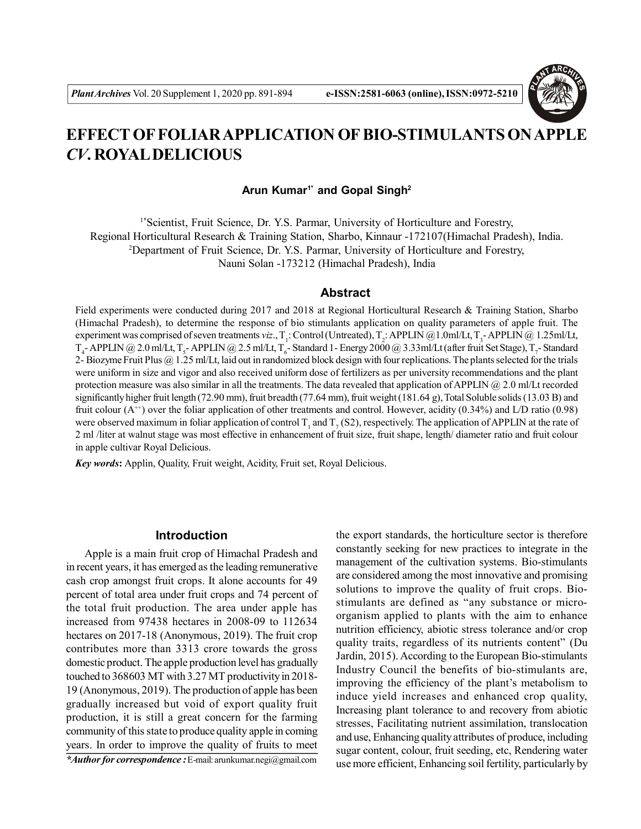

# **EFFECT OF FOLIAR APPLICATION OF BIO-STIMULANTS ON APPLE** *CV***. ROYAL DELICIOUS**

**Arun Kumar1\* and Gopal Singh<sup>2</sup>**

1\*Scientist, Fruit Science, Dr. Y.S. Parmar, University of Horticulture and Forestry, Regional Horticultural Research & Training Station, Sharbo, Kinnaur -172107(Himachal Pradesh), India. <sup>2</sup>Department of Fruit Science, Dr. Y.S. Parmar, University of Horticulture and Forestry, Nauni Solan -173212 (Himachal Pradesh), India

# **Abstract**

Field experiments were conducted during 2017 and 2018 at Regional Horticultural Research & Training Station, Sharbo (Himachal Pradesh), to determine the response of bio stimulants application on quality parameters of apple fruit. The experiment was comprised of seven treatments *viz*.,  $T_1$ : Control (Untreated),  $T_2$ : APPLIN @1.0ml/Lt,  $T_3$ - APPLIN @1.25ml/Lt,  $T_4$ - APPLIN @ 2.0 ml/Lt,  $T_5$ - APPLIN @ 2.5 ml/Lt,  $T_6$ - Standard 1 - Energy 2000 @ 3.33ml/Lt (after fruit Set Stage),  $T_7$ - Standard 2- Biozyme Fruit Plus @ 1.25 ml/Lt, laid out in randomized block design with four replications. The plants selected for the trials were uniform in size and vigor and also received uniform dose of fertilizers as per university recommendations and the plant protection measure was also similar in all the treatments. The data revealed that application of APPLIN @ 2.0 ml/Lt recorded significantly higher fruit length (72.90 mm), fruit breadth (77.64 mm), fruit weight (181.64 g), Total Soluble solids (13.03 B) and fruit colour  $(A^{+})$  over the foliar application of other treatments and control. However, acidity (0.34%) and L/D ratio (0.98) were observed maximum in foliar application of control T<sub>1</sub> and T<sub>7</sub> (S2), respectively. The application of APPLIN at the rate of 2 ml /liter at walnut stage was most effective in enhancement of fruit size, fruit shape, length/ diameter ratio and fruit colour in apple cultivar Royal Delicious.

*Key words***:** Applin, Quality, Fruit weight, Acidity, Fruit set, Royal Delicious.

# **Introduction**

Apple is a main fruit crop of Himachal Pradesh and in recent years, it has emerged as the leading remunerative cash crop amongst fruit crops. It alone accounts for 49 percent of total area under fruit crops and 74 percent of the total fruit production. The area under apple has increased from 97438 hectares in 2008-09 to 112634 hectares on 2017-18 (Anonymous, 2019). The fruit crop contributes more than 3313 crore towards the gross domestic product. The apple production level has gradually touched to 368603 MT with 3.27 MT productivity in 2018- 19 (Anonymous, 2019). The production of apple has been gradually increased but void of export quality fruit production, it is still a great concern for the farming community of this state to produce quality apple in coming years. In order to improve the quality of fruits to meet

*\*Author for correspondence :* E-mail: arunkumar.negi@gmail.com

the export standards, the horticulture sector is therefore constantly seeking for new practices to integrate in the management of the cultivation systems. Bio-stimulants are considered among the most innovative and promising solutions to improve the quality of fruit crops. Biostimulants are defined as "any substance or microorganism applied to plants with the aim to enhance nutrition efficiency, abiotic stress tolerance and/or crop quality traits, regardless of its nutrients content" (Du Jardin, 2015). According to the European Bio-stimulants Industry Council the benefits of bio-stimulants are, improving the efficiency of the plant's metabolism to induce yield increases and enhanced crop quality, Increasing plant tolerance to and recovery from abiotic stresses, Facilitating nutrient assimilation, translocation and use, Enhancing quality attributes of produce, including sugar content, colour, fruit seeding, etc, Rendering water use more efficient, Enhancing soil fertility, particularly by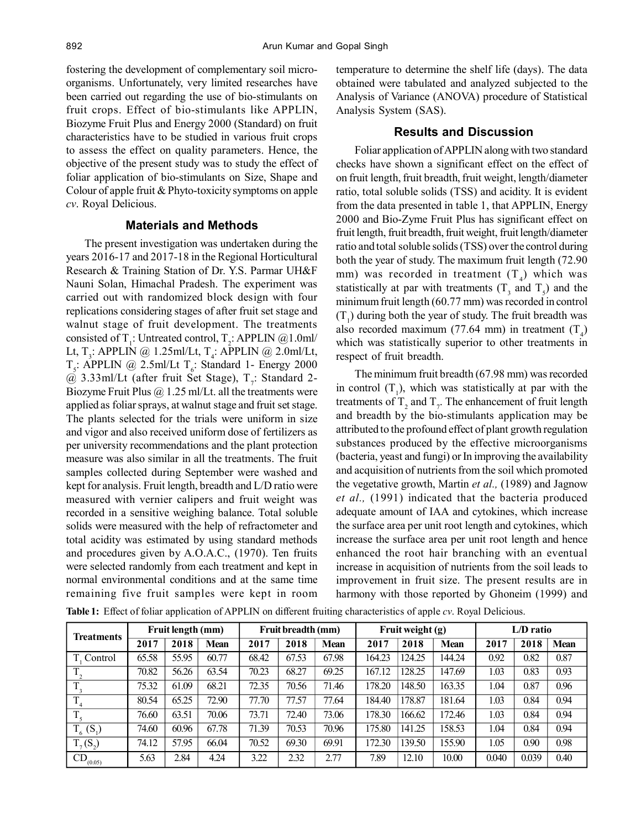fostering the development of complementary soil microorganisms. Unfortunately, very limited researches have been carried out regarding the use of bio-stimulants on fruit crops. Effect of bio-stimulants like APPLIN, Biozyme Fruit Plus and Energy 2000 (Standard) on fruit characteristics have to be studied in various fruit crops to assess the effect on quality parameters. Hence, the objective of the present study was to study the effect of foliar application of bio-stimulants on Size, Shape and Colour of apple fruit & Phyto-toxicity symptoms on apple *cv*. Royal Delicious.

## **Materials and Methods**

The present investigation was undertaken during the years 2016-17 and 2017-18 in the Regional Horticultural Research & Training Station of Dr. Y.S. Parmar UH&F Nauni Solan, Himachal Pradesh. The experiment was carried out with randomized block design with four replications considering stages of after fruit set stage and walnut stage of fruit development. The treatments consisted of T<sub>1</sub>: Untreated control, T<sub>2</sub>: APPLIN @1.0ml/ Lt, T<sub>3</sub>: APPLIN @ 1.25ml/Lt, T<sub>4</sub>: APPLIN @ 2.0ml/Lt,  $T_s$ : APPLIN @ 2.5ml/Lt  $T_s$ : Standard 1- Energy 2000  $\omega$  3.33ml/Lt (after fruit Set Stage),  $T_i$ : Standard 2-Biozyme Fruit Plus  $\omega$  1.25 ml/Lt. all the treatments were applied as foliar sprays, at walnut stage and fruit set stage. The plants selected for the trials were uniform in size and vigor and also received uniform dose of fertilizers as per university recommendations and the plant protection measure was also similar in all the treatments. The fruit samples collected during September were washed and kept for analysis. Fruit length, breadth and L/D ratio were measured with vernier calipers and fruit weight was recorded in a sensitive weighing balance. Total soluble solids were measured with the help of refractometer and total acidity was estimated by using standard methods and procedures given by A.O.A.C., (1970). Ten fruits were selected randomly from each treatment and kept in normal environmental conditions and at the same time remaining five fruit samples were kept in room temperature to determine the shelf life (days). The data obtained were tabulated and analyzed subjected to the Analysis of Variance (ANOVA) procedure of Statistical Analysis System (SAS).

#### **Results and Discussion**

Foliar application of APPLIN along with two standard checks have shown a significant effect on the effect of on fruit length, fruit breadth, fruit weight, length/diameter ratio, total soluble solids (TSS) and acidity. It is evident from the data presented in table 1, that APPLIN, Energy 2000 and Bio-Zyme Fruit Plus has significant effect on fruit length, fruit breadth, fruit weight, fruit length/diameter ratio and total soluble solids (TSS) over the control during both the year of study. The maximum fruit length (72.90 mm) was recorded in treatment  $(T_4)$  which was statistically at par with treatments  $(T_3$  and  $T_5)$  and the minimum fruit length (60.77 mm) was recorded in control  $(T_1)$  during both the year of study. The fruit breadth was also recorded maximum (77.64 mm) in treatment  $(T_4)$ which was statistically superior to other treatments in respect of fruit breadth.

The minimum fruit breadth (67.98 mm) was recorded in control  $(T_1)$ , which was statistically at par with the treatments of  $T_2$  and  $T_7$ . The enhancement of fruit length and breadth by the bio-stimulants application may be attributed to the profound effect of plant growth regulation substances produced by the effective microorganisms (bacteria, yeast and fungi) or In improving the availability and acquisition of nutrients from the soil which promoted the vegetative growth, Martin *et al.,* (1989) and Jagnow *et al.,* (1991) indicated that the bacteria produced adequate amount of IAA and cytokines, which increase the surface area per unit root length and cytokines, which increase the surface area per unit root length and hence enhanced the root hair branching with an eventual increase in acquisition of nutrients from the soil leads to improvement in fruit size. The present results are in harmony with those reported by Ghoneim (1999) and

| <b>Treatments</b> | Fruit length (mm) |       |             | Fruit breadth (mm) |       |             | Fruit weight (g) |        |             | L/D ratio |       |             |
|-------------------|-------------------|-------|-------------|--------------------|-------|-------------|------------------|--------|-------------|-----------|-------|-------------|
|                   | 2017              | 2018  | <b>Mean</b> | 2017               | 2018  | <b>Mean</b> | 2017             | 2018   | <b>Mean</b> | 2017      | 2018  | <b>Mean</b> |
| Control           | 65.58             | 55.95 | 60.77       | 68.42              | 67.53 | 67.98       | 164.23           | 124.25 | 144.24      | 0.92      | 0.82  | 0.87        |
|                   | 70.82             | 56.26 | 63.54       | 70.23              | 68.27 | 69.25       | 167.12           | 128.25 | 147.69      | 1.03      | 0.83  | 0.93        |
|                   | 75.32             | 61.09 | 68.21       | 72.35              | 70.56 | 71.46       | 178.20           | 148.50 | 163.35      | 1.04      | 0.87  | 0.96        |
|                   | 80.54             | 65.25 | 72.90       | 77.70              | 77.57 | 77.64       | 184.40           | 178.87 | 181.64      | 1.03      | 0.84  | 0.94        |
| $T_{\rm c}$       | 76.60             | 63.51 | 70.06       | 73.71              | 72.40 | 73.06       | 178.30           | 166.62 | 172.46      | 1.03      | 0.84  | 0.94        |
| $T_6(S_1)$        | 74.60             | 60.96 | 67.78       | 71.39              | 70.53 | 70.96       | 175.80           | 141.25 | 158.53      | 1.04      | 0.84  | 0.94        |
| $T_7(S_2)$        | 74.12             | 57.95 | 66.04       | 70.52              | 69.30 | 69.91       | 172.30           | 139.50 | 155.90      | 1.05      | 0.90  | 0.98        |
| CD.<br>(0.05)     | 5.63              | 2.84  | 4.24        | 3.22               | 2.32  | 2.77        | 7.89             | 12.10  | 10.00       | 0.040     | 0.039 | 0.40        |

**Table 1:** Effect of foliar application of APPLIN on different fruiting characteristics of apple *cv*. Royal Delicious.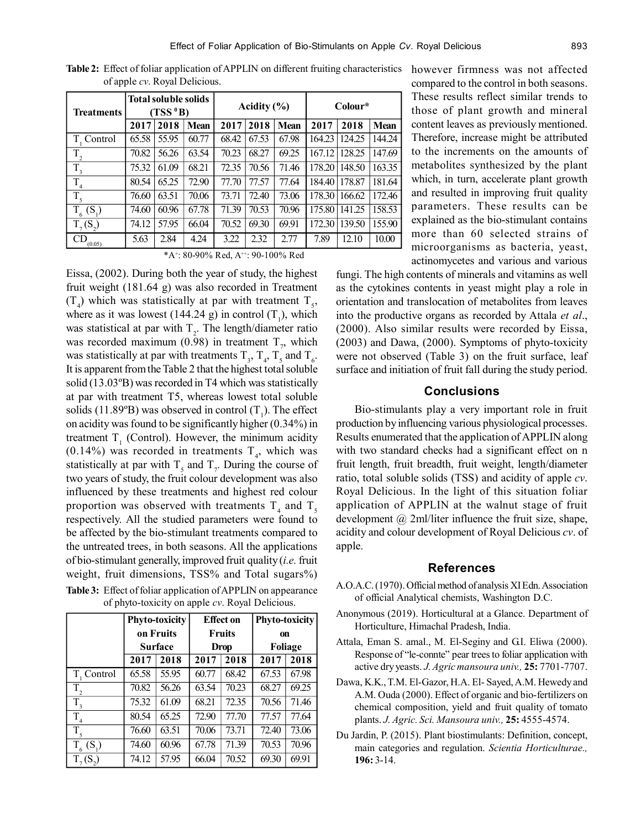| <b>Treatments</b>         | <b>Total soluble solids</b><br>(TSS <sup>0</sup> B) |       |       | Acidity $(\% )$ |       |             | Colour* |        |             |
|---------------------------|-----------------------------------------------------|-------|-------|-----------------|-------|-------------|---------|--------|-------------|
|                           | 2017                                                | 2018  | Mean  | 2017            | 2018  | <b>Mean</b> | 2017    | 2018   | <b>Mean</b> |
| T. Control                | 65.58                                               | 55.95 | 60.77 | 68.42           | 67.53 | 67.98       | 164.23  | 124.25 | 144.24      |
| $\rm T_{_2}$              | 70.82                                               | 56.26 | 63.54 | 70.23           | 68.27 | 69.25       | 167.12  | 128.25 | 147.69      |
| $T_{3}$                   | 75.32                                               | 61.09 | 68.21 | 72.35           | 70.56 | 71.46       | 178.20  | 148.50 | 163.35      |
| T,                        | 80.54                                               | 65.25 | 72.90 | 77.70           | 77.57 | 77.64       | 184.40  | 178.87 | 181.64      |
| $T_5$                     | 76.60                                               | 63.51 | 70.06 | 73.71           | 72.40 | 73.06       | 178.30  | 166.62 | 172.46      |
| $T_{6}$ (S <sub>1</sub> ) | 74.60                                               | 60.96 | 67.78 | 71.39           | 70.53 | 70.96       | 175.80  | 141.25 | 158.53      |
| $T_{7}(S_{2})$            | 74.12                                               | 57.95 | 66.04 | 70.52           | 69.30 | 69.91       | 172.30  | 139.50 | 155.90      |
| CD<br>(0.05)              | 5.63                                                | 2.84  | 4.24  | 3.22            | 2.32  | 2.77        | 7.89    | 12.10  | 10.00       |

**Table 2:** Effect of foliar application of APPLIN on different fruiting characteristics however firmness was not affected of apple *cv*. Royal Delicious.

\*A<sup>+</sup>: 80-90% Red, A<sup>++</sup>: 90-100% Red

Eissa, (2002). During both the year of study, the highest fruit weight (181.64 g) was also recorded in Treatment  $(T_4)$  which was statistically at par with treatment  $T_5$ , where as it was lowest (144.24 g) in control  $(T_1)$ , which was statistical at par with  $T_2$ . The length/diameter ratio was recorded maximum (0.98) in treatment  $T_{7}$ , which was statistically at par with treatments  $T_3$ ,  $T_4$ ,  $T_5$  and  $T_6$ . It is apparent from the Table 2 that the highest total soluble solid (13.03ºB) was recorded in T4 which was statistically at par with treatment T5, whereas lowest total soluble solids (11.89°B) was observed in control  $(T_1)$ . The effect on acidity was found to be significantly higher (0.34%) in treatment  $T_1$  (Control). However, the minimum acidity  $(0.14\%)$  was recorded in treatments T<sub>4</sub>, which was statistically at par with  $T_s$  and  $T_\tau$ . During the course of two years of study, the fruit colour development was also influenced by these treatments and highest red colour proportion was observed with treatments  $T_4$  and  $T_5$ respectively. All the studied parameters were found to be affected by the bio-stimulant treatments compared to the untreated trees, in both seasons. All the applications of bio-stimulant generally, improved fruit quality (*i.e.* fruit weight, fruit dimensions, TSS% and Total sugars%) **Table 3:** Effect of foliar application of APPLIN on appearance of phyto-toxicity on apple *cv*. Royal Delicious.

|                    |       | <b>Phyto-toxicity</b><br>on Fruits |       | <b>Effect on</b><br><b>Fruits</b> | <b>Phyto-toxicity</b><br>on |       |  |
|--------------------|-------|------------------------------------|-------|-----------------------------------|-----------------------------|-------|--|
|                    |       | Surface                            |       | <b>Drop</b>                       | Foliage                     |       |  |
|                    | 2017  | 2018                               | 2017  | 2018                              | 2017                        | 2018  |  |
| T, Control         | 65.58 | 55.95                              | 60.77 | 68.42                             | 67.53                       | 67.98 |  |
| $\overline{T}_2$   | 70.82 | 56.26                              | 63.54 | 70.23                             | 68.27                       | 69.25 |  |
| T.                 | 75.32 | 61.09                              | 68.21 | 72.35                             | 70.56                       | 71.46 |  |
| T                  | 80.54 | 65.25                              | 72.90 | 77.70                             | 77.57                       | 77.64 |  |
| $\overline{T}_5$   | 76.60 | 63.51                              | 70.06 | 73.71                             | 72.40                       | 73.06 |  |
| $T_{6}$<br>$(S_1)$ | 74.60 | 60.96                              | 67.78 | 71.39                             | 70.53                       | 70.96 |  |
|                    | 74.12 | 57.95                              | 66.04 | 70.52                             | 69.30                       | 69.91 |  |

compared to the control in both seasons. These results reflect similar trends to those of plant growth and mineral content leaves as previously mentioned. Therefore, increase might be attributed to the increments on the amounts of metabolites synthesized by the plant which, in turn, accelerate plant growth and resulted in improving fruit quality parameters. These results can be explained as the bio-stimulant contains more than 60 selected strains of microorganisms as bacteria, yeast, actinomycetes and various and various

fungi. The high contents of minerals and vitamins as well as the cytokines contents in yeast might play a role in orientation and translocation of metabolites from leaves into the productive organs as recorded by Attala *et al*., (2000). Also similar results were recorded by Eissa, (2003) and Dawa, (2000). Symptoms of phyto-toxicity were not observed (Table 3) on the fruit surface, leaf surface and initiation of fruit fall during the study period.

## **Conclusions**

Bio-stimulants play a very important role in fruit production by influencing various physiological processes. Results enumerated that the application of APPLIN along with two standard checks had a significant effect on n fruit length, fruit breadth, fruit weight, length/diameter ratio, total soluble solids (TSS) and acidity of apple *cv*. Royal Delicious. In the light of this situation foliar application of APPLIN at the walnut stage of fruit development  $\omega$  2ml/liter influence the fruit size, shape, acidity and colour development of Royal Delicious *cv*. of apple.

#### **References**

- A.O.A.C. (1970). Official method of analysis XI Edn. Association of official Analytical chemists, Washington D.C.
- Anonymous (2019). Horticultural at a Glance. Department of Horticulture, Himachal Pradesh, India.
- Attala, Eman S. amal., M. El-Seginy and G.I. Eliwa (2000). Response of "le-connte" pear trees to foliar application with active dry yeasts. *J. Agric mansoura univ.,* **25:** 7701-7707.
- Dawa, K.K., T.M. El-Gazor, H.A. El- Sayed, A.M. Hewedy and A.M. Ouda (2000). Effect of organic and bio-fertilizers on chemical composition, yield and fruit quality of tomato plants. *J. Agric. Sci. Mansoura univ.,* **25:** 4555-4574.
- Du Jardin, P. (2015). Plant biostimulants: Definition, concept, main categories and regulation. *Scientia Horticulturae.,* **196:** 3-14.